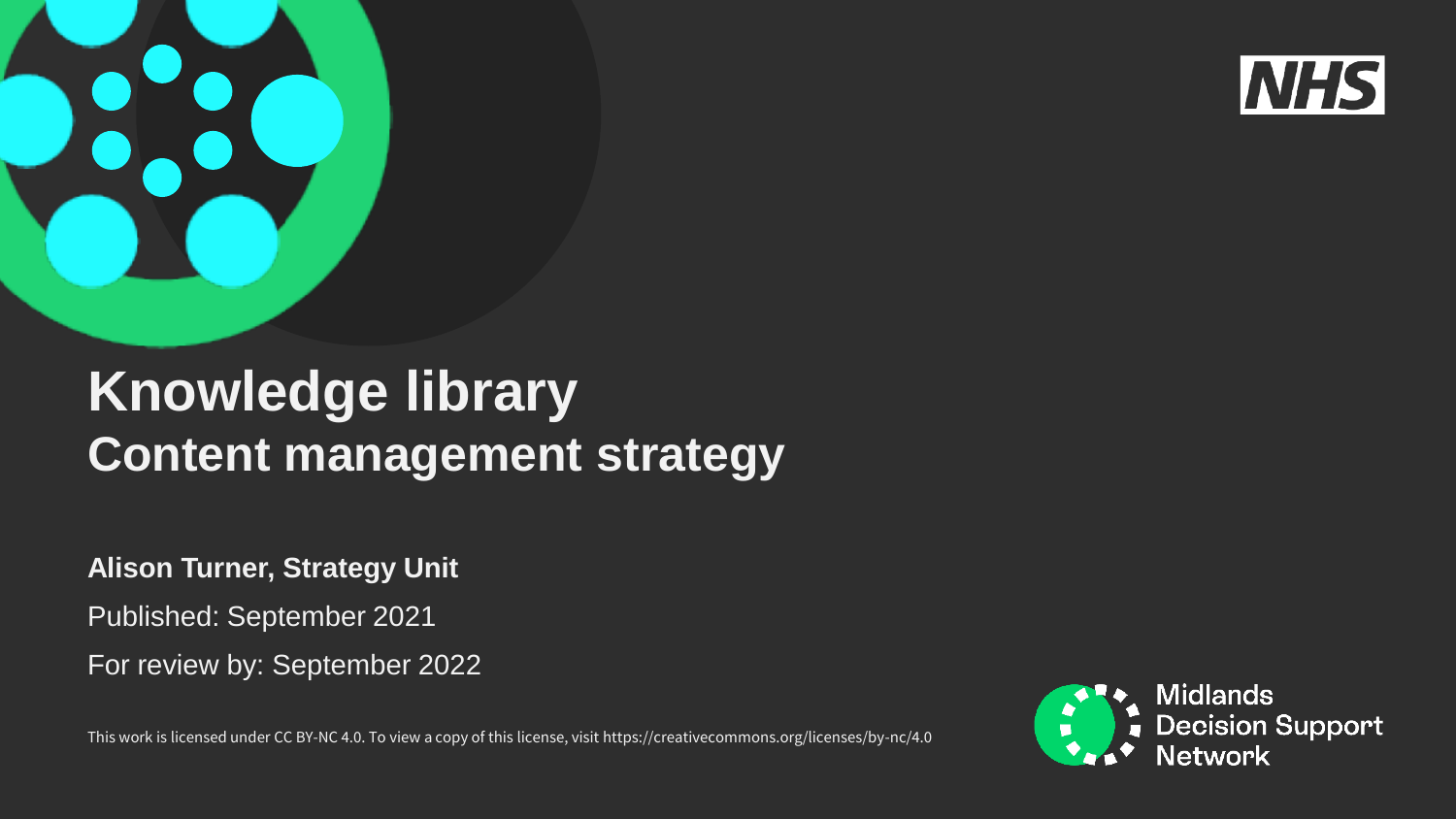

## **Knowledge library Content management strategy**

**Alison Turner, Strategy Unit**

Published: September 2021

For review by: September 2022

This work is licensed under CC BY-NC 4.0. To view a copy of this license, visit https://creativecommons.org/licenses/by-nc/4.0

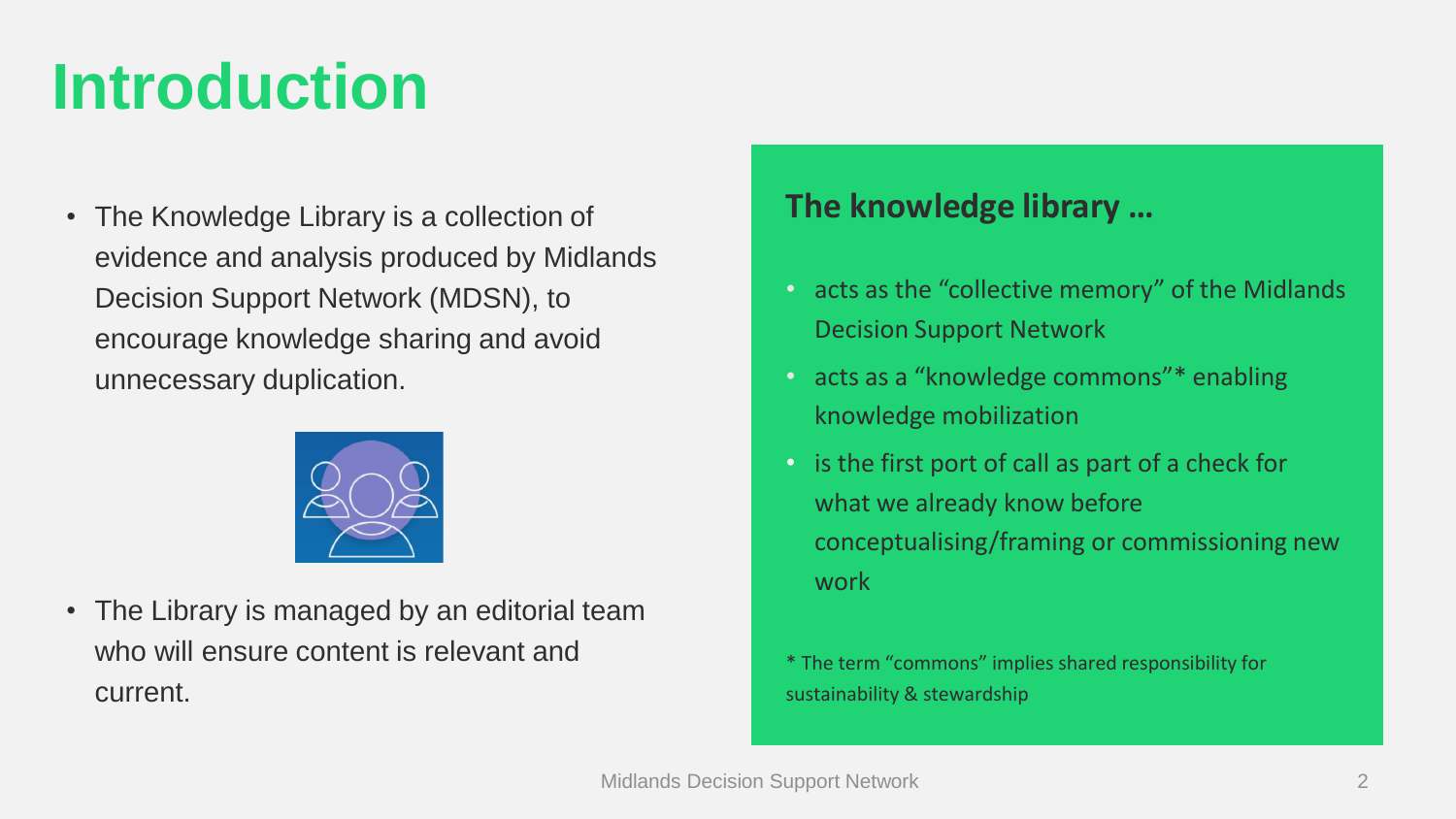## **Introduction**

• The Knowledge Library is a collection of evidence and analysis produced by Midlands Decision Support Network (MDSN), to encourage knowledge sharing and avoid unnecessary duplication.



• The Library is managed by an editorial team who will ensure content is relevant and current.

### **The knowledge library …**

- acts as the "collective memory" of the Midlands Decision Support Network
- acts as a "knowledge commons"\* enabling knowledge mobilization
- is the first port of call as part of a check for what we already know before conceptualising/framing or commissioning new work
- \* The term "commons" implies shared responsibility for sustainability & stewardship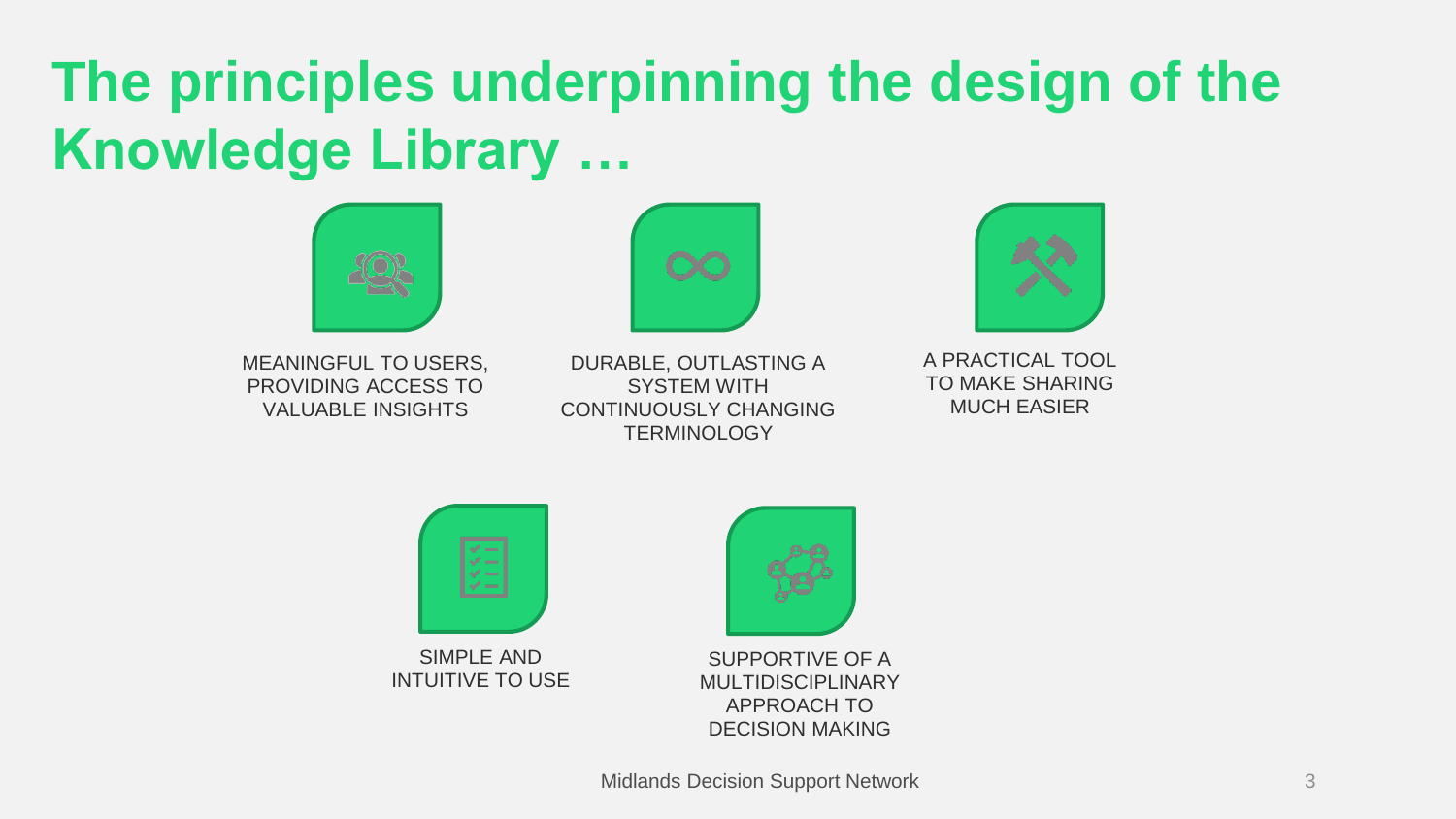## **The principles underpinning the design of the Knowledge Library …**



MEANINGFUL TO USERS, PROVIDING ACCESS TO VALUABLE INSIGHTS

DURABLE, OUTLASTING A SYSTEM WITH CONTINUOUSLY CHANGING **TERMINOLOGY** 



A PRACTICAL TOOL TO MAKE SHARING MUCH EASIER



SIMPLE AND INTUITIVE TO USE



SUPPORTIVE OF A MULTIDISCIPLINARY APPROACH TO DECISION MAKING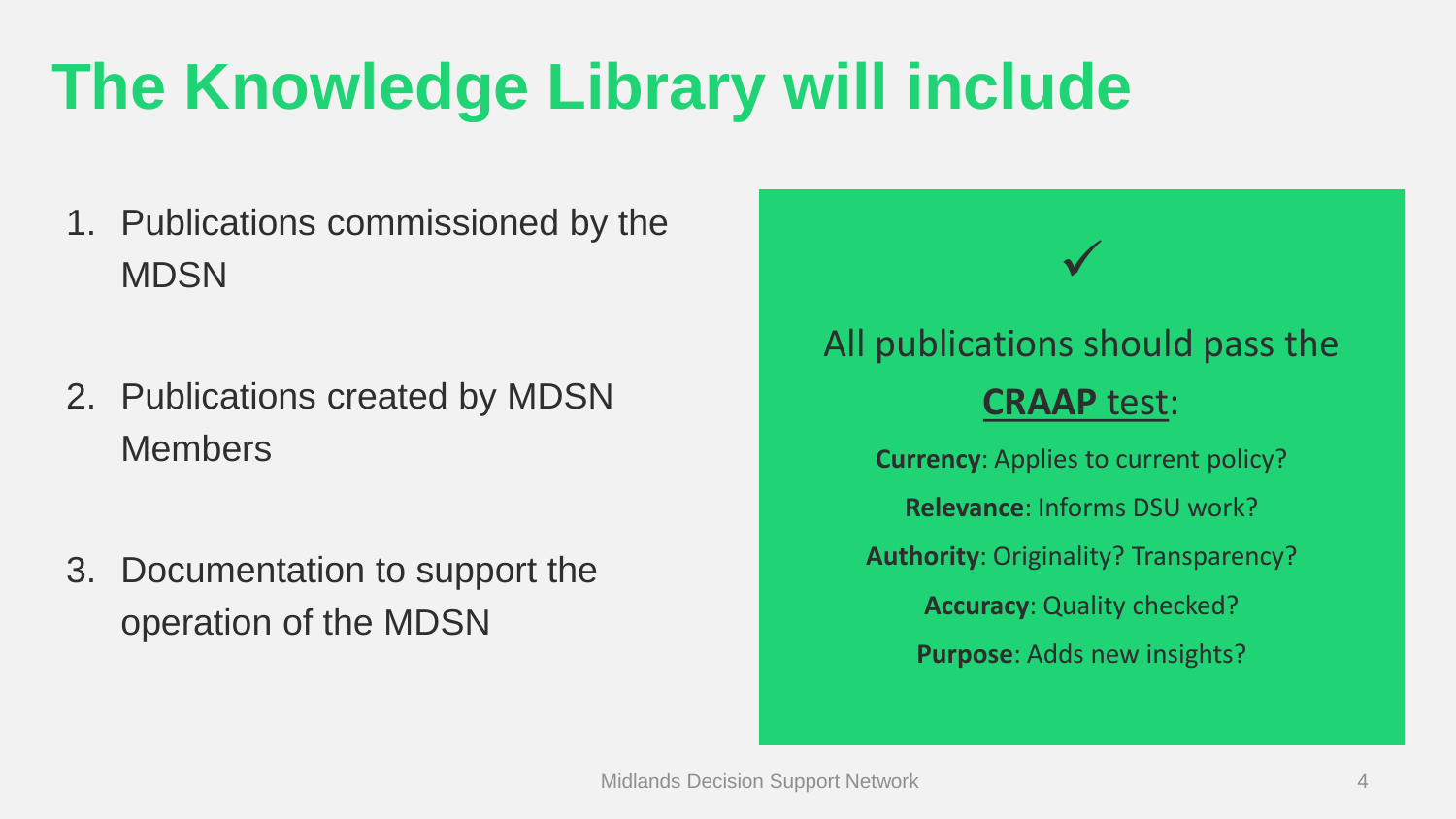# **The Knowledge Library will include**

- 1. Publications commissioned by the **MDSN**
- 2. Publications created by MDSN Members
- 3. Documentation to support the operation of the MDSN

## All publications should pass the **[CRAAP](https://infolit.org.uk/wp-content/uploads/ResearchSmarter/Docs/CRAAP.pdf)** test:

✓

**Currency**: Applies to current policy? **Relevance**: Informs DSU work? **Authority**: Originality? Transparency? **Accuracy**: Quality checked? **Purpose**: Adds new insights?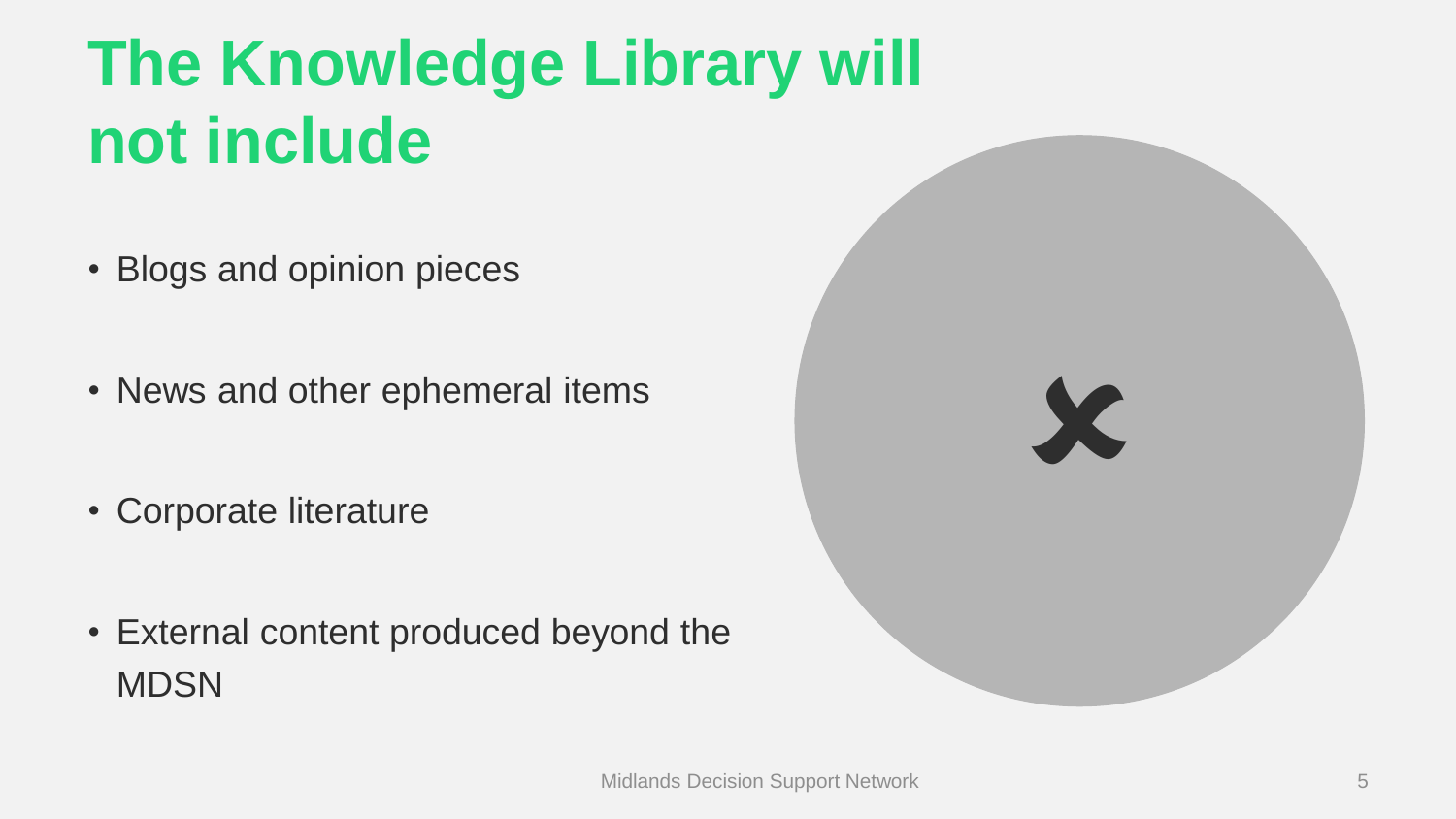# **The Knowledge Library will not include**

- Blogs and opinion pieces
- News and other ephemeral items
- Corporate literature
- External content produced beyond the **MDSN**

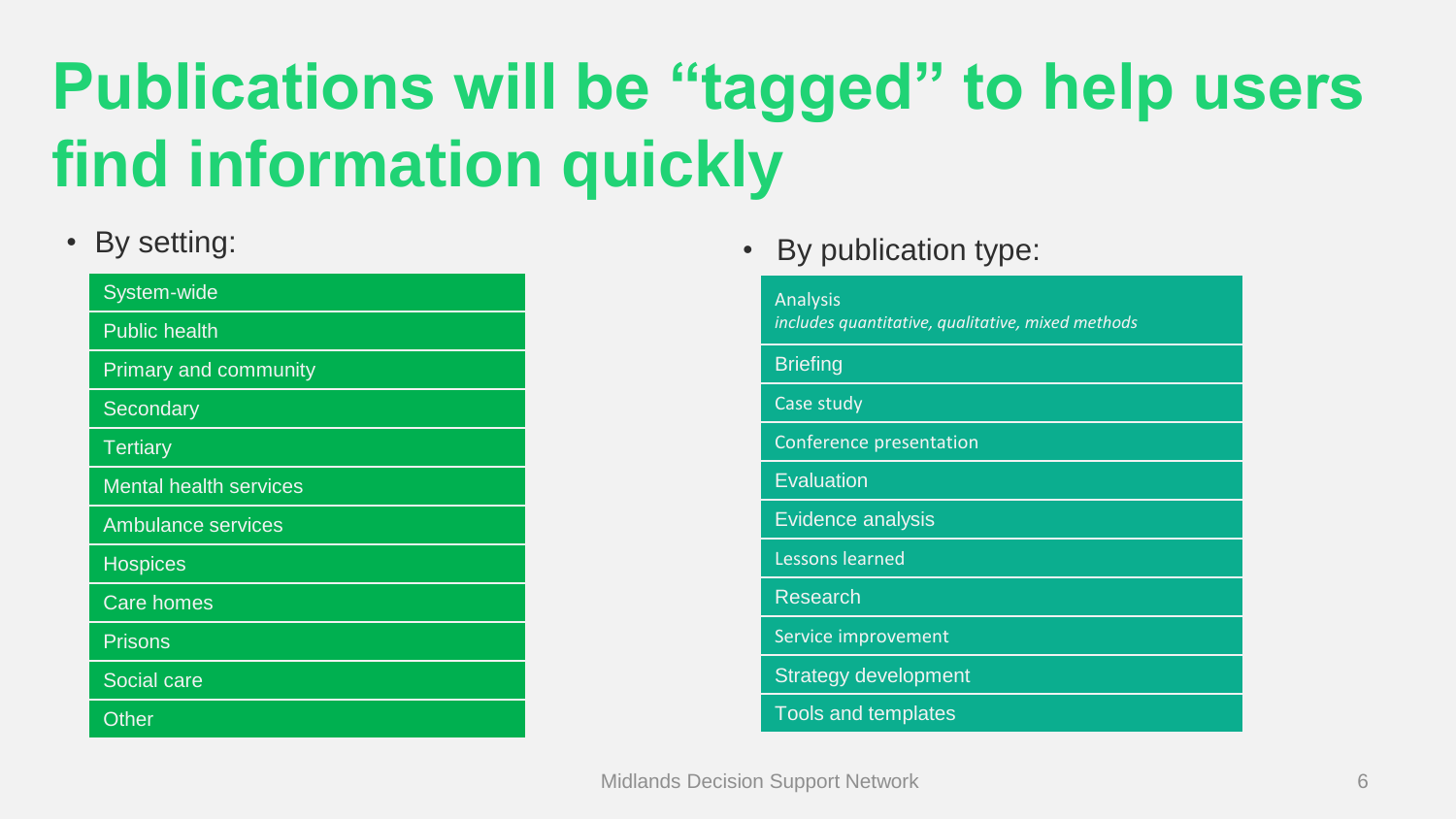# **Publications will be "tagged" to help users find information quickly**

### • By setting:

| System-wide                   |
|-------------------------------|
| <b>Public health</b>          |
| Primary and community         |
| Secondary                     |
| <b>Tertiary</b>               |
| <b>Mental health services</b> |
| <b>Ambulance services</b>     |
| <b>Hospices</b>               |
| <b>Care homes</b>             |
| Prisons                       |
| Social care                   |
| Other                         |

• By publication type:

### Analysis *includes quantitative, qualitative, mixed methods* **Briefing** Case study Conference presentation **Evaluation** Evidence analysis Lessons learned Research Service improvement Strategy development Tools and templates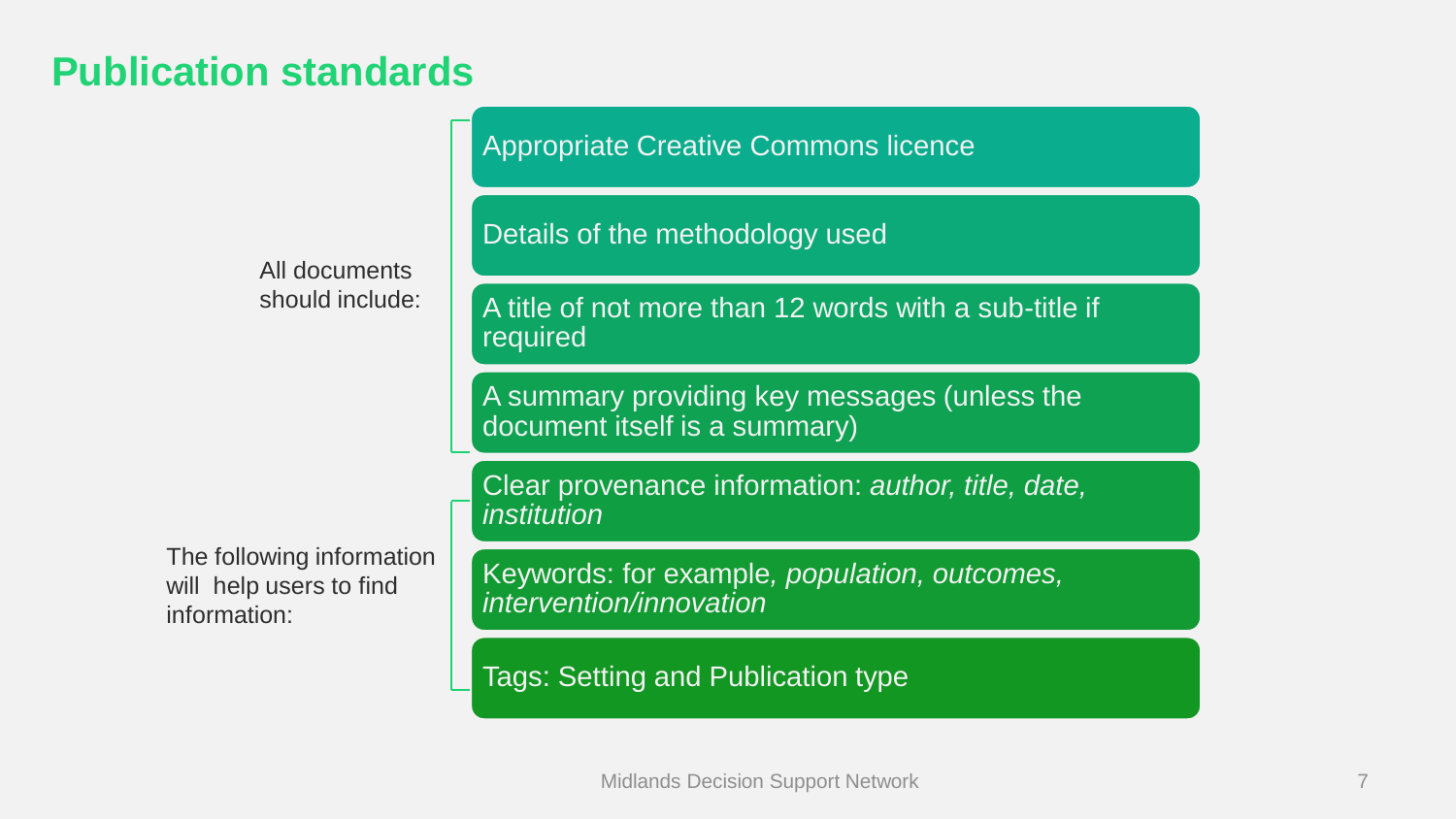### **Publication standards**

All documents should include:

The following information will help users to find information:

Appropriate Creative Commons licence

### Details of the methodology used

A title of not more than 12 words with a sub-title if required

A summary providing key messages (unless the document itself is a summary)

Clear provenance information: *author, title, date, institution* 

Keywords: for example*, population, outcomes, intervention/innovation*

Tags: Setting and Publication type